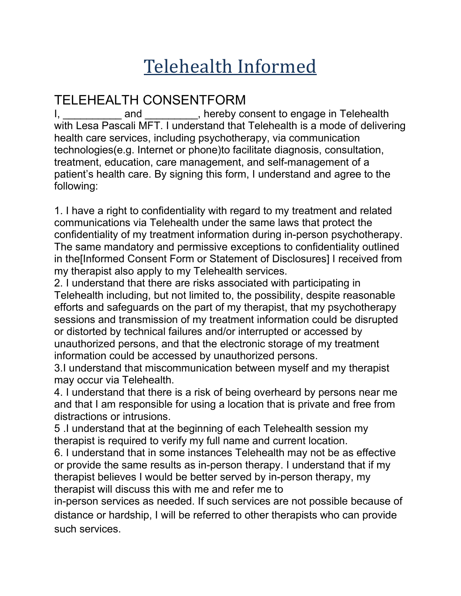## Telehealth Informed

## TELEHEALTH CONSENTFORM

I, \_\_\_\_\_\_\_\_\_\_\_ and \_\_\_\_\_\_\_\_\_, hereby consent to engage in Telehealth with Lesa Pascali MFT. I understand that Telehealth is a mode of delivering health care services, including psychotherapy, via communication technologies(e.g. Internet or phone)to facilitate diagnosis, consultation, treatment, education, care management, and self-management of a patient's health care. By signing this form, I understand and agree to the following:

1. I have a right to confidentiality with regard to my treatment and related communications via Telehealth under the same laws that protect the confidentiality of my treatment information during in-person psychotherapy. The same mandatory and permissive exceptions to confidentiality outlined in the[Informed Consent Form or Statement of Disclosures] I received from my therapist also apply to my Telehealth services.

2. I understand that there are risks associated with participating in Telehealth including, but not limited to, the possibility, despite reasonable efforts and safeguards on the part of my therapist, that my psychotherapy sessions and transmission of my treatment information could be disrupted or distorted by technical failures and/or interrupted or accessed by unauthorized persons, and that the electronic storage of my treatment information could be accessed by unauthorized persons.

3.I understand that miscommunication between myself and my therapist may occur via Telehealth.

4. I understand that there is a risk of being overheard by persons near me and that I am responsible for using a location that is private and free from distractions or intrusions.

5 .I understand that at the beginning of each Telehealth session my therapist is required to verify my full name and current location.

6. I understand that in some instances Telehealth may not be as effective or provide the same results as in-person therapy. I understand that if my therapist believes I would be better served by in-person therapy, my therapist will discuss this with me and refer me to

in-person services as needed. If such services are not possible because of distance or hardship, I will be referred to other therapists who can provide such services.